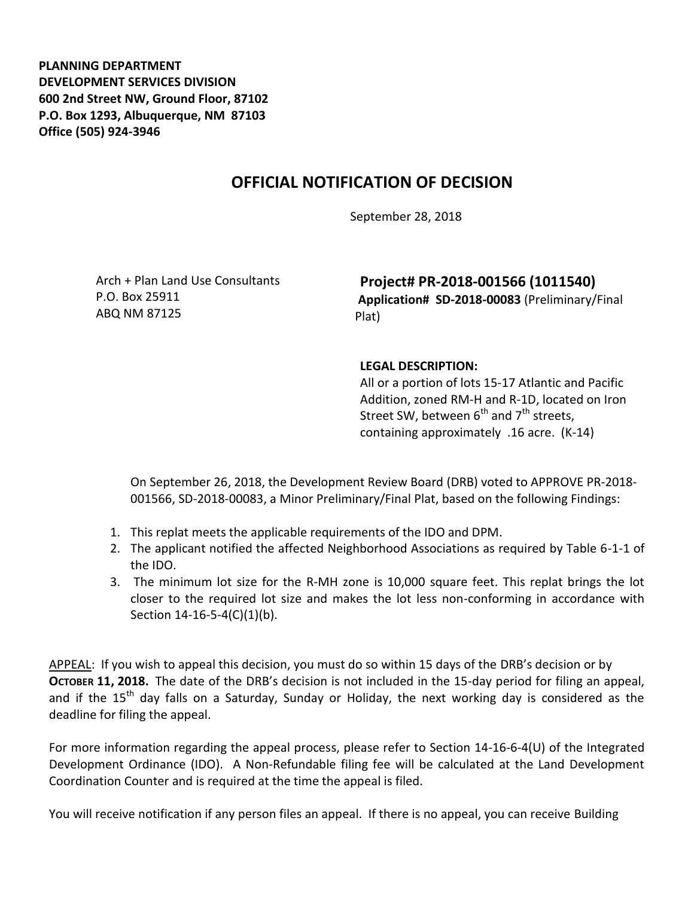**PLANNING DEPARTMENT DEVELOPMENT SERVICES DIVISION 600 2nd Street NW, Ground Floor, 87102 P.O. Box 1293, Albuquerque, NM 87103 Office (505) 924-3946** 

## **OFFICIAL NOTIFICATION OF DECISION**

September 28, 2018

Arch + Plan Land Use Consultants P.O. Box 25911 ABQ NM 87125

**Project# PR-2018-001566 (1011540) Application# SD-2018-00083** (Preliminary/Final Plat)

## **LEGAL DESCRIPTION:**

All or a portion of lots 15-17 Atlantic and Pacific Addition, zoned RM-H and R-1D, located on Iron Street SW, between  $6^{th}$  and  $7^{th}$  streets, containing approximately .16 acre. (K-14)

On September 26, 2018, the Development Review Board (DRB) voted to APPROVE PR-2018- 001566, SD-2018-00083, a Minor Preliminary/Final Plat, based on the following Findings:

- 1. This replat meets the applicable requirements of the IDO and DPM.
- 2. The applicant notified the affected Neighborhood Associations as required by Table 6-1-1 of the IDO.
- 3. The minimum lot size for the R-MH zone is 10,000 square feet. This replat brings the lot closer to the required lot size and makes the lot less non-conforming in accordance with Section 14-16-5-4(C)(1)(b).

APPEAL: If you wish to appeal this decision, you must do so within 15 days of the DRB's decision or by **OCTOBER 11, 2018.** The date of the DRB's decision is not included in the 15-day period for filing an appeal, and if the  $15<sup>th</sup>$  day falls on a Saturday, Sunday or Holiday, the next working day is considered as the deadline for filing the appeal.

For more information regarding the appeal process, please refer to Section 14-16-6-4(U) of the Integrated Development Ordinance (IDO). A Non-Refundable filing fee will be calculated at the Land Development Coordination Counter and is required at the time the appeal is filed.

You will receive notification if any person files an appeal. If there is no appeal, you can receive Building